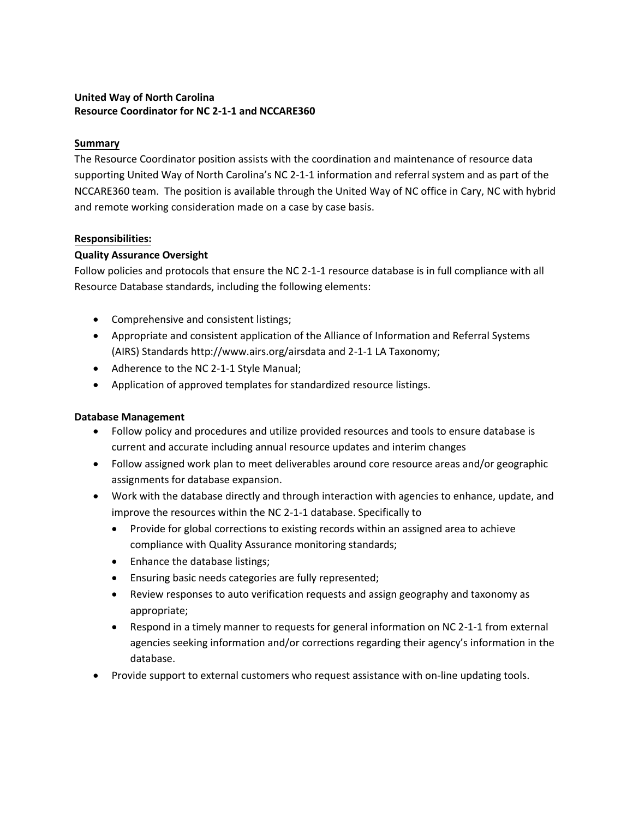# **United Way of North Carolina Resource Coordinator for NC 2-1-1 and NCCARE360**

# **Summary**

The Resource Coordinator position assists with the coordination and maintenance of resource data supporting United Way of North Carolina's NC 2-1-1 information and referral system and as part of the NCCARE360 team. The position is available through the United Way of NC office in Cary, NC with hybrid and remote working consideration made on a case by case basis.

## **Responsibilities:**

## **Quality Assurance Oversight**

Follow policies and protocols that ensure the NC 2-1-1 resource database is in full compliance with all Resource Database standards, including the following elements:

- Comprehensive and consistent listings;
- Appropriate and consistent application of the Alliance of Information and Referral Systems (AIRS) Standards http://www.airs.org/airsdata and 2-1-1 LA Taxonomy;
- Adherence to the NC 2-1-1 Style Manual;
- Application of approved templates for standardized resource listings.

# **Database Management**

- Follow policy and procedures and utilize provided resources and tools to ensure database is current and accurate including annual resource updates and interim changes
- Follow assigned work plan to meet deliverables around core resource areas and/or geographic assignments for database expansion.
- Work with the database directly and through interaction with agencies to enhance, update, and improve the resources within the NC 2-1-1 database. Specifically to
	- Provide for global corrections to existing records within an assigned area to achieve compliance with Quality Assurance monitoring standards;
	- Enhance the database listings;
	- Ensuring basic needs categories are fully represented;
	- Review responses to auto verification requests and assign geography and taxonomy as appropriate;
	- Respond in a timely manner to requests for general information on NC 2-1-1 from external agencies seeking information and/or corrections regarding their agency's information in the database.
- Provide support to external customers who request assistance with on-line updating tools.